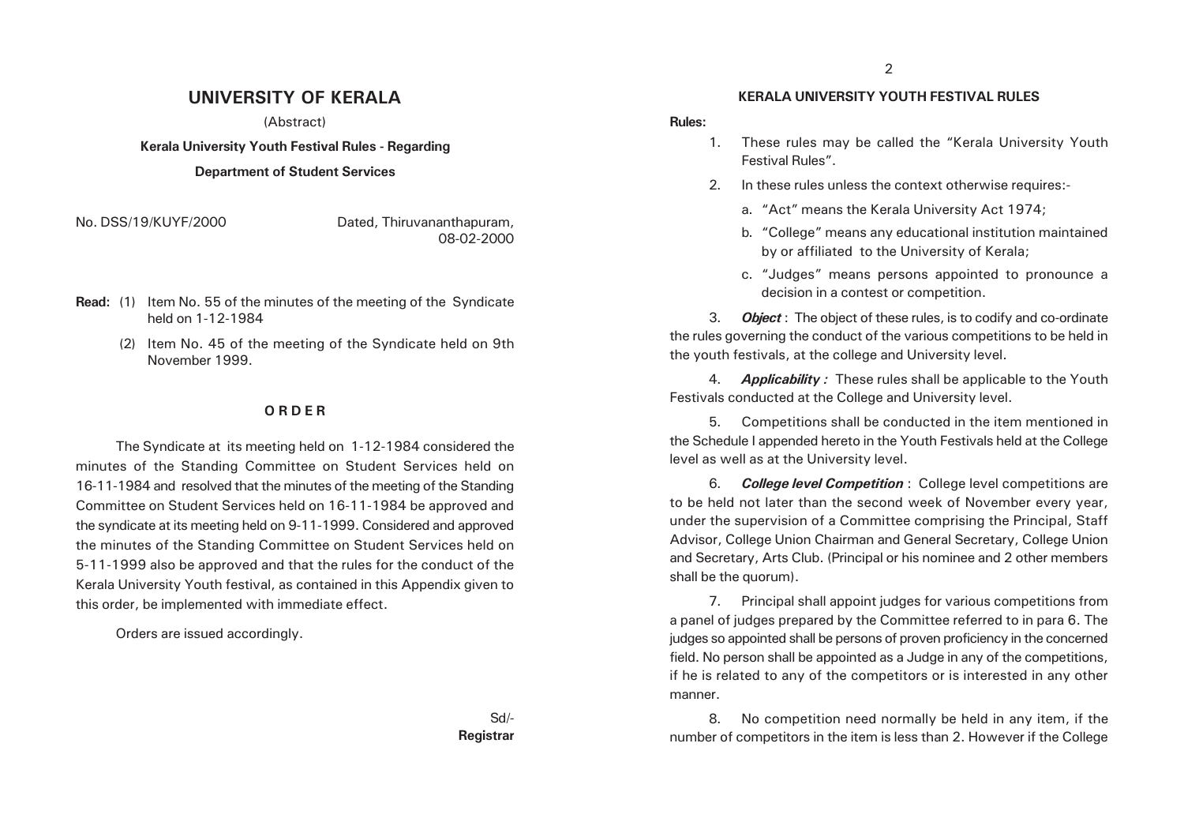## **UNIVERSITY OF KERALA**

(Abstract)

**Kerala University Youth Festival Rules - Regarding**

#### **Department of Student Services**

No. DSS/19/KUYF/2000 Dated, Thiruvananthapuram, 08-02-2000

- **Read:** (1) Item No. 55 of the minutes of the meeting of the Syndicate held on 1-12-1984
	- (2) Item No. 45 of the meeting of the Syndicate held on 9th November 1999.

#### **O R D E R**

The Syndicate at its meeting held on 1-12-1984 considered the minutes of the Standing Committee on Student Services held on 16-11-1984 and resolved that the minutes of the meeting of the Standing Committee on Student Services held on 16-11-1984 be approved and the syndicate at its meeting held on 9-11-1999. Considered and approved the minutes of the Standing Committee on Student Services held on 5-11-1999 also be approved and that the rules for the conduct of the Kerala University Youth festival, as contained in this Appendix given to this order, be implemented with immediate effect.

Orders are issued accordingly.

#### Sd/- **Registrar**

#### **KERALA UNIVERSITY YOUTH FESTIVAL RULES**

#### **Rules:**

- 1. These rules may be called the "Kerala University Youth Festival Rules".
- 2. In these rules unless the context otherwise requires:
	- a. "Act" means the Kerala University Act 1974;
	- b. "College" means any educational institution maintained by or affiliated to the University of Kerala;
	- c. "Judges" means persons appointed to pronounce a decision in a contest or competition.

3. *Object* : The object of these rules, is to codify and co-ordinate the rules governing the conduct of the various competitions to be held in the youth festivals, at the college and University level.

4. *Applicability :* These rules shall be applicable to the Youth Festivals conducted at the College and University level.

5. Competitions shall be conducted in the item mentioned in the Schedule I appended hereto in the Youth Festivals held at the College level as well as at the University level.

6. *College level Competition* : College level competitions are to be held not later than the second week of November every year, under the supervision of a Committee comprising the Principal, Staff Advisor, College Union Chairman and General Secretary, College Union and Secretary, Arts Club. (Principal or his nominee and 2 other members shall be the quorum).

7. Principal shall appoint judges for various competitions from a panel of judges prepared by the Committee referred to in para 6. The judges so appointed shall be persons of proven proficiency in the concerned field. No person shall be appointed as a Judge in any of the competitions, if he is related to any of the competitors or is interested in any other manner.

8. No competition need normally be held in any item, if the number of competitors in the item is less than 2. However if the College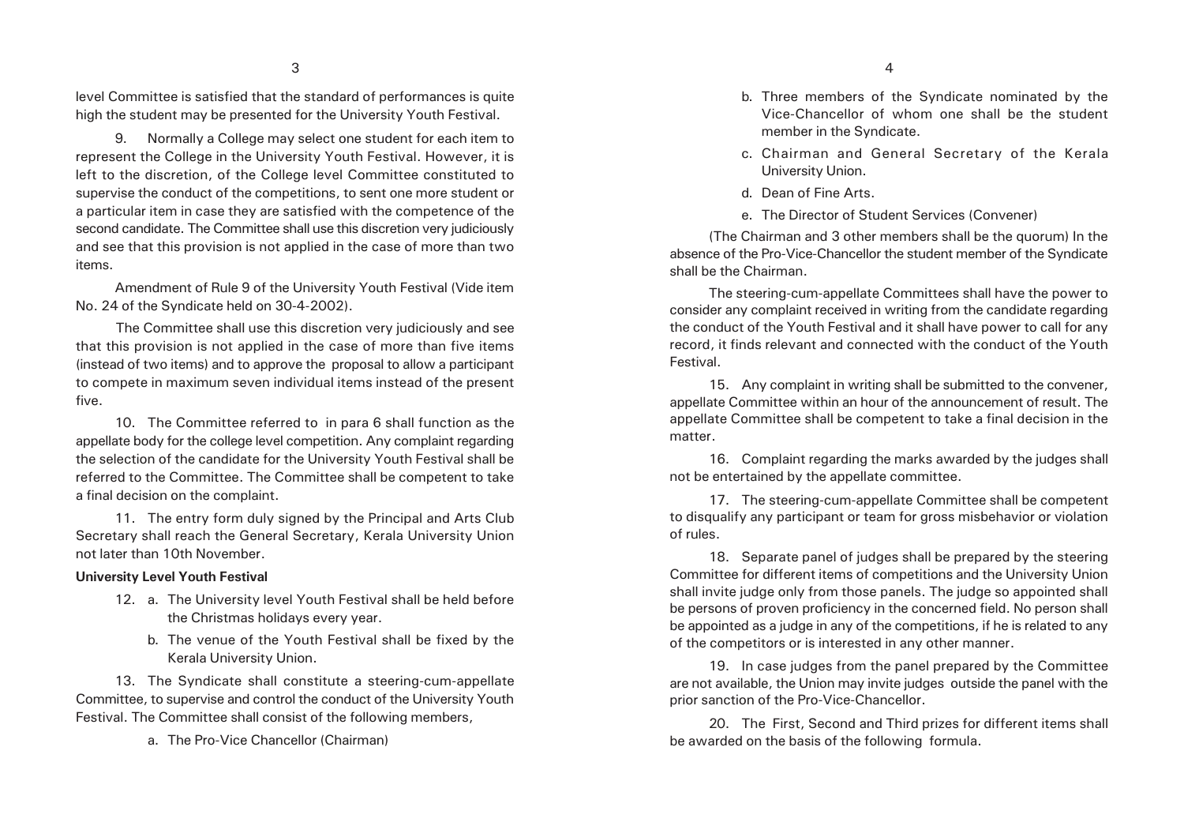level Committee is satisfied that the standard of performances is quite high the student may be presented for the University Youth Festival.

9. Normally a College may select one student for each item to represent the College in the University Youth Festival. However, it is left to the discretion, of the College level Committee constituted to supervise the conduct of the competitions, to sent one more student or a particular item in case they are satisfied with the competence of the second candidate. The Committee shall use this discretion very judiciously and see that this provision is not applied in the case of more than two items.

Amendment of Rule 9 of the University Youth Festival (Vide item No. 24 of the Syndicate held on 30-4-2002).

The Committee shall use this discretion very judiciously and see that this provision is not applied in the case of more than five items (instead of two items) and to approve the proposal to allow a participant to compete in maximum seven individual items instead of the present five.

10. The Committee referred to in para 6 shall function as the appellate body for the college level competition. Any complaint regarding the selection of the candidate for the University Youth Festival shall be referred to the Committee. The Committee shall be competent to take a final decision on the complaint.

11. The entry form duly signed by the Principal and Arts Club Secretary shall reach the General Secretary, Kerala University Union not later than 10th November.

#### **University Level Youth Festival**

- 12. a. The University level Youth Festival shall be held before the Christmas holidays every year.
	- b. The venue of the Youth Festival shall be fixed by the Kerala University Union.

13. The Syndicate shall constitute a steering-cum-appellate Committee, to supervise and control the conduct of the University Youth Festival. The Committee shall consist of the following members,

a. The Pro-Vice Chancellor (Chairman)

- b. Three members of the Syndicate nominated by the Vice-Chancellor of whom one shall be the student member in the Syndicate.
- c. Chairman and General Secretary of the Kerala University Union.
- d. Dean of Fine Arts.
- e. The Director of Student Services (Convener)

(The Chairman and 3 other members shall be the quorum) In the absence of the Pro-Vice-Chancellor the student member of the Syndicate shall be the Chairman.

The steering-cum-appellate Committees shall have the power to consider any complaint received in writing from the candidate regarding the conduct of the Youth Festival and it shall have power to call for any record, it finds relevant and connected with the conduct of the Youth Festival.

15. Any complaint in writing shall be submitted to the convener, appellate Committee within an hour of the announcement of result. The appellate Committee shall be competent to take a final decision in the matter.

16. Complaint regarding the marks awarded by the judges shall not be entertained by the appellate committee.

17. The steering-cum-appellate Committee shall be competent to disqualify any participant or team for gross misbehavior or violation of rules.

18. Separate panel of judges shall be prepared by the steering Committee for different items of competitions and the University Union shall invite judge only from those panels. The judge so appointed shall be persons of proven proficiency in the concerned field. No person shall be appointed as a judge in any of the competitions, if he is related to any of the competitors or is interested in any other manner.

19. In case judges from the panel prepared by the Committee are not available, the Union may invite judges outside the panel with the prior sanction of the Pro-Vice-Chancellor.

20. The First, Second and Third prizes for different items shall be awarded on the basis of the following formula.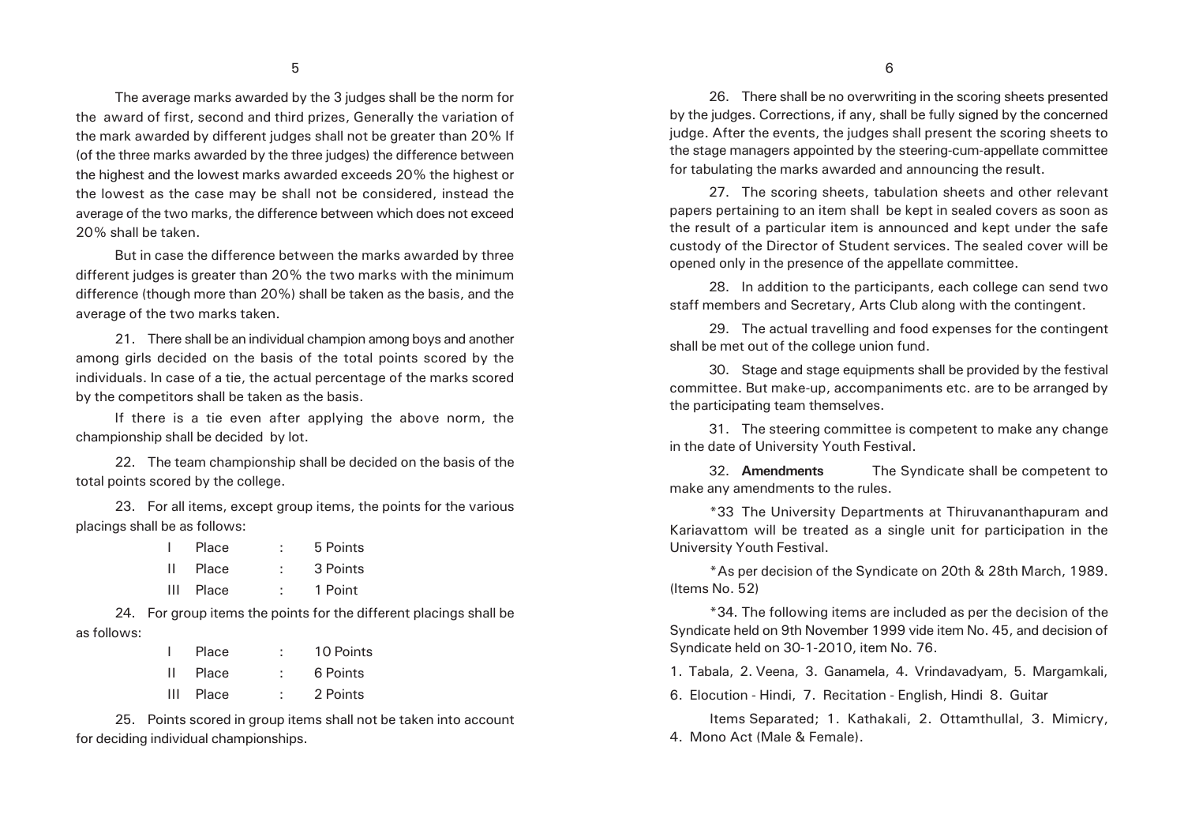The average marks awarded by the 3 judges shall be the norm for the award of first, second and third prizes, Generally the variation of the mark awarded by different judges shall not be greater than 20% If (of the three marks awarded by the three judges) the difference between the highest and the lowest marks awarded exceeds 20% the highest or the lowest as the case may be shall not be considered, instead the average of the two marks, the difference between which does not exceed 20% shall be taken.

But in case the difference between the marks awarded by three different judges is greater than 20% the two marks with the minimum difference (though more than 20%) shall be taken as the basis, and the average of the two marks taken.

21. There shall be an individual champion among boys and another among girls decided on the basis of the total points scored by the individuals. In case of a tie, the actual percentage of the marks scored by the competitors shall be taken as the basis.

If there is a tie even after applying the above norm, the championship shall be decided by lot.

22. The team championship shall be decided on the basis of the total points scored by the college.

23. For all items, except group items, the points for the various placings shall be as follows:

|              | Place | 5 Points |
|--------------|-------|----------|
| $\mathbf{H}$ | Place | 3 Points |
| Ш            | Place | 1 Point  |

24. For group items the points for the different placings shall be as follows:

|    | Place     |   | 10 Points |
|----|-----------|---|-----------|
| н. | Place     |   | 6 Points  |
|    | III Place | t | 2 Points  |

25. Points scored in group items shall not be taken into account for deciding individual championships.

26. There shall be no overwriting in the scoring sheets presented by the judges. Corrections, if any, shall be fully signed by the concerned judge. After the events, the judges shall present the scoring sheets to the stage managers appointed by the steering-cum-appellate committee for tabulating the marks awarded and announcing the result.

27. The scoring sheets, tabulation sheets and other relevant papers pertaining to an item shall be kept in sealed covers as soon as the result of a particular item is announced and kept under the safe custody of the Director of Student services. The sealed cover will be opened only in the presence of the appellate committee.

28. In addition to the participants, each college can send two staff members and Secretary, Arts Club along with the contingent.

29. The actual travelling and food expenses for the contingent shall be met out of the college union fund.

30. Stage and stage equipments shall be provided by the festival committee. But make-up, accompaniments etc. are to be arranged by the participating team themselves.

31. The steering committee is competent to make any change in the date of University Youth Festival.

32. **Amendments** The Syndicate shall be competent to make any amendments to the rules.

\*33 The University Departments at Thiruvananthapuram and Kariavattom will be treated as a single unit for participation in the University Youth Festival.

\*As per decision of the Syndicate on 20th & 28th March, 1989. (Items No. 52)

\*34. The following items are included as per the decision of the Syndicate held on 9th November 1999 vide item No. 45, and decision of Syndicate held on 30-1-2010, item No. 76.

1. Tabala, 2. Veena, 3. Ganamela, 4. Vrindavadyam, 5. Margamkali,

6. Elocution - Hindi, 7. Recitation - English, Hindi 8. Guitar

Items Separated; 1. Kathakali, 2. Ottamthullal, 3. Mimicry, 4. Mono Act (Male & Female).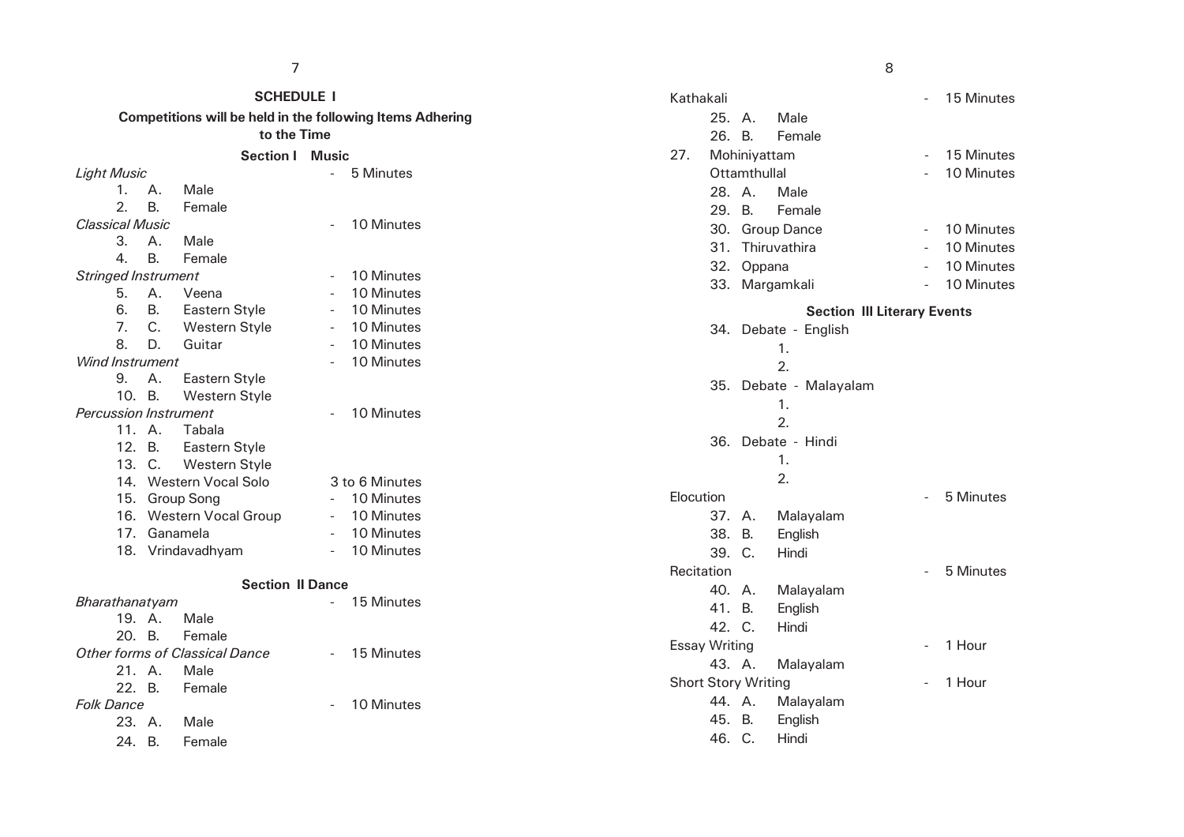| 7                                                           |           |                                                           |                          |                |                            |        |              | 8                                  |  |            |
|-------------------------------------------------------------|-----------|-----------------------------------------------------------|--------------------------|----------------|----------------------------|--------|--------------|------------------------------------|--|------------|
| <b>SCHEDULE I</b>                                           |           |                                                           |                          |                | Kathakali                  |        |              |                                    |  | 15 Minutes |
|                                                             |           | Competitions will be held in the following Items Adhering |                          |                |                            | 25. A. |              | Male                               |  |            |
|                                                             |           | to the Time                                               |                          |                |                            | 26. B. |              | Female                             |  |            |
|                                                             |           | <b>Section I Music</b>                                    |                          |                | 27.                        |        | Mohiniyattam |                                    |  | 15 Minutes |
| <b>Light Music</b><br>5 Minutes<br>$\overline{\phantom{a}}$ |           |                                                           |                          |                |                            |        | Ottamthullal |                                    |  | 10 Minutes |
| 1.                                                          | Α.        | Male                                                      |                          |                |                            | 28. A. |              | Male                               |  |            |
| 2.                                                          | <b>B.</b> | Female                                                    |                          |                |                            | 29. B. |              | Female                             |  |            |
| <b>Classical Music</b>                                      |           |                                                           |                          | 10 Minutes     |                            |        |              | 30. Group Dance                    |  | 10 Minutes |
| 3.                                                          | Α.        | Male                                                      |                          |                |                            |        |              | 31. Thiruvathira                   |  | 10 Minutes |
| 4.                                                          | <b>B.</b> | Female                                                    |                          |                |                            |        | 32. Oppana   |                                    |  | 10 Minutes |
| <b>Stringed Instrument</b>                                  |           |                                                           |                          | 10 Minutes     |                            |        |              |                                    |  |            |
| 5.                                                          | Α.        | Veena                                                     | $\sim$                   | 10 Minutes     |                            |        |              | 33. Margamkali                     |  | 10 Minutes |
| 6.                                                          | <b>B.</b> | Eastern Style                                             | $\overline{\phantom{a}}$ | 10 Minutes     |                            |        |              | <b>Section III Literary Events</b> |  |            |
| 7.                                                          | C.        | Western Style                                             | $\overline{\phantom{a}}$ | 10 Minutes     |                            |        |              | 34. Debate - English               |  |            |
| 8.                                                          | D.        | Guitar                                                    |                          | 10 Minutes     |                            |        |              | 1.                                 |  |            |
| Wind Instrument                                             |           |                                                           |                          | 10 Minutes     |                            |        |              | 2.                                 |  |            |
| 9.                                                          | Α.        | Eastern Style                                             |                          |                |                            |        |              | 35. Debate - Malayalam             |  |            |
| 10. B.                                                      |           | Western Style                                             |                          |                |                            |        |              |                                    |  |            |
| <b>Percussion Instrument</b>                                |           |                                                           |                          | 10 Minutes     |                            |        |              | 1.                                 |  |            |
|                                                             | 11. A.    | Tabala                                                    |                          |                |                            |        |              | 2.                                 |  |            |
|                                                             | 12. B.    | Eastern Style                                             |                          |                |                            |        |              | 36. Debate - Hindi                 |  |            |
|                                                             | 13. C.    | Western Style                                             |                          |                |                            |        |              | 1.                                 |  |            |
|                                                             |           | 14. Western Vocal Solo                                    |                          | 3 to 6 Minutes |                            |        |              | 2.                                 |  |            |
|                                                             |           | 15. Group Song                                            | $\overline{\phantom{a}}$ | 10 Minutes     | Elocution                  |        |              |                                    |  | 5 Minutes  |
|                                                             |           | 16. Western Vocal Group                                   | $\overline{\phantom{a}}$ | 10 Minutes     |                            | 37. A. |              | Malayalam                          |  |            |
|                                                             |           | 17. Ganamela                                              |                          | 10 Minutes     |                            | 38. B. |              | English                            |  |            |
|                                                             |           | 18. Vrindavadhyam                                         | $\blacksquare$           | 10 Minutes     |                            | 39. C. |              | Hindi                              |  |            |
|                                                             |           |                                                           |                          |                | Recitation                 |        |              |                                    |  | 5 Minutes  |
|                                                             |           | <b>Section II Dance</b>                                   |                          |                |                            | 40. A. |              | Malayalam                          |  |            |
| Bharathanatyam                                              |           |                                                           |                          | 15 Minutes     |                            | 41. B. |              | English                            |  |            |
|                                                             | 19. A.    | Male                                                      |                          |                |                            | 42. C. |              | Hindi                              |  |            |
| 20. B.                                                      |           | Female                                                    |                          |                |                            |        |              |                                    |  |            |
|                                                             |           | Other forms of Classical Dance                            | $\overline{\phantom{a}}$ | 15 Minutes     | <b>Essay Writing</b>       |        |              |                                    |  | 1 Hour     |
|                                                             | 21. A.    | Male                                                      |                          |                |                            | 43. A. |              | Malayalam                          |  |            |
| 22. B.                                                      |           | Female                                                    |                          |                | <b>Short Story Writing</b> |        |              |                                    |  | 1 Hour     |
| <b>Folk Dance</b>                                           |           |                                                           |                          | 10 Minutes     |                            | 44. A. |              | Malayalam                          |  |            |
|                                                             | 23. A.    | Male                                                      |                          |                |                            | 45.    | <b>B.</b>    | English                            |  |            |
| 24. B.                                                      |           | Female                                                    |                          |                |                            | 46. C. |              | Hindi                              |  |            |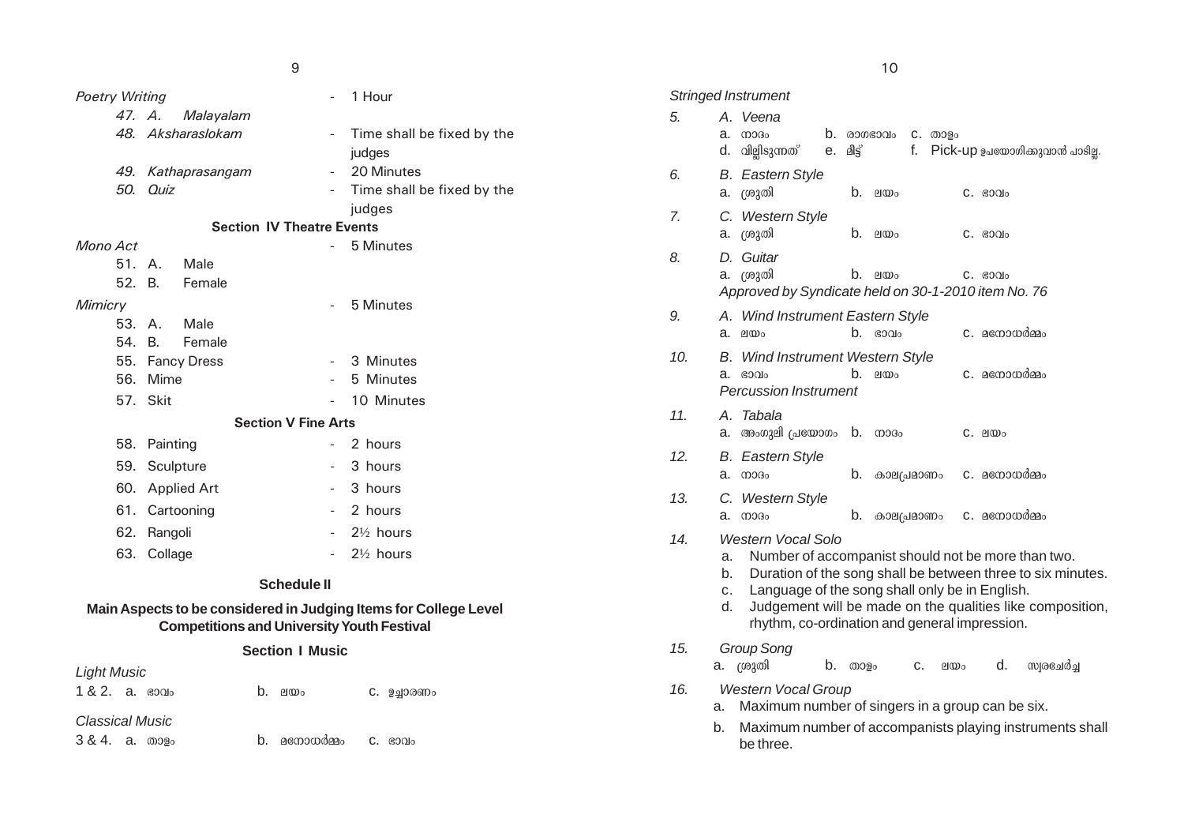| ۰.<br>×       |
|---------------|
| ۰.<br>v<br>v. |

|                                     |                 |                            | 9                        |                                                               |     | 10                                                      |
|-------------------------------------|-----------------|----------------------------|--------------------------|---------------------------------------------------------------|-----|---------------------------------------------------------|
| <b>Poetry Writing</b>               |                 |                            | $\sim$                   | 1 Hour                                                        |     | <b>Stringed Instrument</b>                              |
|                                     | 47. A.          | Malayalam                  |                          |                                                               | 5.  | A. Veena                                                |
|                                     |                 | 48. Aksharaslokam          | $\sim$                   | Time shall be fixed by the                                    |     | b.<br>$a.$ mog <sub>o</sub><br>രാഗഭാവം                  |
|                                     |                 |                            |                          | judges                                                        |     | d. വില്ലിടുന്നത്<br>മീട്ട്<br>е.                        |
|                                     |                 | 49. Kathaprasangam         | $\overline{\phantom{a}}$ | 20 Minutes                                                    | 6.  | <b>B.</b> Eastern Style                                 |
| 50.                                 | Quiz            |                            |                          | Time shall be fixed by the                                    |     | a. ശ്രുതി<br>b.<br>ലയം                                  |
|                                     |                 |                            |                          | judges                                                        | 7.  | C. Western Style                                        |
| <b>Section IV Theatre Events</b>    |                 |                            |                          | a. ശ്രുതി<br>$b.$ en $\omega$                                 |     |                                                         |
| Mono Act                            |                 |                            |                          | 5 Minutes                                                     | 8.  | D. Guitar                                               |
|                                     | 51. A.          | Male                       |                          |                                                               |     | a. ശ്രുതി<br>$b.$ en $\omega_0$                         |
|                                     | 52. B.          | Female                     |                          |                                                               |     | Approved by Syndicate held                              |
| <b>Mimicry</b>                      |                 |                            | $\overline{\phantom{a}}$ | 5 Minutes                                                     | 9.  | A. Wind Instrument Eastern                              |
|                                     | 53. A.          | Male                       |                          |                                                               |     | $b.$ ഭാവ<br>a. enco                                     |
| 54.                                 | B.              | Female                     |                          |                                                               |     |                                                         |
|                                     | 55. Fancy Dress |                            | $\overline{\phantom{a}}$ | 3 Minutes                                                     | 10. | <b>B.</b> Wind Instrument Western<br>b <sub>1</sub>     |
|                                     | 56. Mime        |                            |                          | 5 Minutes                                                     |     | $a.$ $g$ $0$ $o$<br>ലയം<br><b>Percussion Instrument</b> |
|                                     | 57. Skit        |                            |                          | 10 Minutes                                                    |     |                                                         |
|                                     |                 | <b>Section V Fine Arts</b> |                          |                                                               | 11. | A. Tabala                                               |
|                                     | 58. Painting    |                            |                          | 2 hours                                                       |     | a. അംഗുലി പ്രയോഗം b. നാദ                                |
|                                     | 59. Sculpture   |                            |                          | 3 hours                                                       | 12. | <b>B.</b> Eastern Style<br>a. mogo<br>b.<br>കാല         |
|                                     | 60. Applied Art |                            | $\overline{\phantom{a}}$ | 3 hours                                                       | 13. | C. Western Style                                        |
|                                     | 61. Cartooning  |                            | $\sim$                   | 2 hours                                                       |     | b.<br>$a.$ mog <sub>o</sub><br>കാല                      |
|                                     | 62. Rangoli     |                            | $\sim$                   | $2\frac{1}{2}$ hours                                          | 14. | <b>Western Vocal Solo</b>                               |
| 63. Collage<br>$2\frac{1}{2}$ hours |                 |                            |                          | Number of accompanist<br>a.<br>Duration of the song sha<br>b. |     |                                                         |
|                                     |                 |                            | <b>Schedule II</b>       |                                                               |     | Language of the cong ck                                 |

## **Main Aspects to be considered in Judging Items for College Level Competitions and University Youth Festival**

## **Section I Music**

| <b>Light Music</b> |  |           |             |
|--------------------|--|-----------|-------------|
| $1 & 2$ . a. soglo |  | $b.$ 2100 | C. ഉച്ചാരണം |

# *Classical Music*

3 & 4. a. താളം b. മനോധർമ്മം c. ഭാവം

| <b>Stringed Instrument</b> |                      |                                                                                                                                                                                                                                                                                                         |          |        |             |    |          |                       |                                |  |
|----------------------------|----------------------|---------------------------------------------------------------------------------------------------------------------------------------------------------------------------------------------------------------------------------------------------------------------------------------------------------|----------|--------|-------------|----|----------|-----------------------|--------------------------------|--|
| 5.                         |                      | A. Veena                                                                                                                                                                                                                                                                                                |          |        |             |    |          |                       |                                |  |
|                            | a.<br>d.             | 0.003 <sub>o</sub><br>വില്ലിടുന്നത്                                                                                                                                                                                                                                                                     | b.<br>е. | മീട്ട് | രാഗഭാവം     | f. | C. 00030 |                       | Pick-up ഉപയോഗിക്കുവാൻ പാടില്ല. |  |
| 6.                         | a.                   | <b>B.</b> Eastern Style<br>ശ്രുതി                                                                                                                                                                                                                                                                       |          | b.     | ലയം         |    |          | C. 60010              |                                |  |
| 7.                         | a.                   | C. Western Style<br>ശ്രുതി                                                                                                                                                                                                                                                                              |          | b.     | ലയം         |    |          | C. 60010              |                                |  |
| 8.                         | D.<br>a.             | Guitar<br>ശ്രുതി<br>Approved by Syndicate held on 30-1-2010 item No. 76                                                                                                                                                                                                                                 |          | b.     | ലയം         |    |          | $C.$ $$00$            |                                |  |
| 9.                         | a.                   | A. Wind Instrument Eastern Style<br>ലയം                                                                                                                                                                                                                                                                 |          | b.     | \$000       |    |          | C. മനോധർമ്മം          |                                |  |
| 10.                        | В.<br>a.             | <b>Wind Instrument Western Style</b><br>ഭാവം<br>Percussion Instrument                                                                                                                                                                                                                                   |          | b.     | ലയം         |    |          | C. മനോധർ <u>മ</u> ്മം |                                |  |
| 11.                        | a.                   | A. Tabala<br>അംഗുലി പ്രയോഗം b.                                                                                                                                                                                                                                                                          |          |        | നാദം        |    |          | C. ലയം                |                                |  |
| 12.                        | a.                   | B. Eastern Style<br>നാദം                                                                                                                                                                                                                                                                                |          | b.     | കാല(പ്രമാണം |    |          | C. മനോധർമ്മം          |                                |  |
| 13.                        | a.                   | C. Western Style<br>നാദം                                                                                                                                                                                                                                                                                |          | b.     | കാല(പ്രമാണം |    |          | C. മനോധർമ്മം          |                                |  |
| 14.                        | a.<br>b.<br>c.<br>d. | Western Vocal Solo<br>Number of accompanist should not be more than two.<br>Duration of the song shall be between three to six minutes.<br>Language of the song shall only be in English.<br>Judgement will be made on the qualities like composition,<br>rhythm, co-ordination and general impression. |          |        |             |    |          |                       |                                |  |
| 15.                        | a.                   | Group Song<br>ശ്രുതി                                                                                                                                                                                                                                                                                    | b.       | താളം   |             | c. | ലയം      | d.                    | സ്വരചേർച്ച                     |  |
| 16.                        | a.                   | <b>Western Vocal Group</b><br>Maximum number of singers in a group can be six.                                                                                                                                                                                                                          |          |        |             |    |          |                       |                                |  |
|                            | b.                   | Maximum number of accompanists playing instruments shall<br>be three.                                                                                                                                                                                                                                   |          |        |             |    |          |                       |                                |  |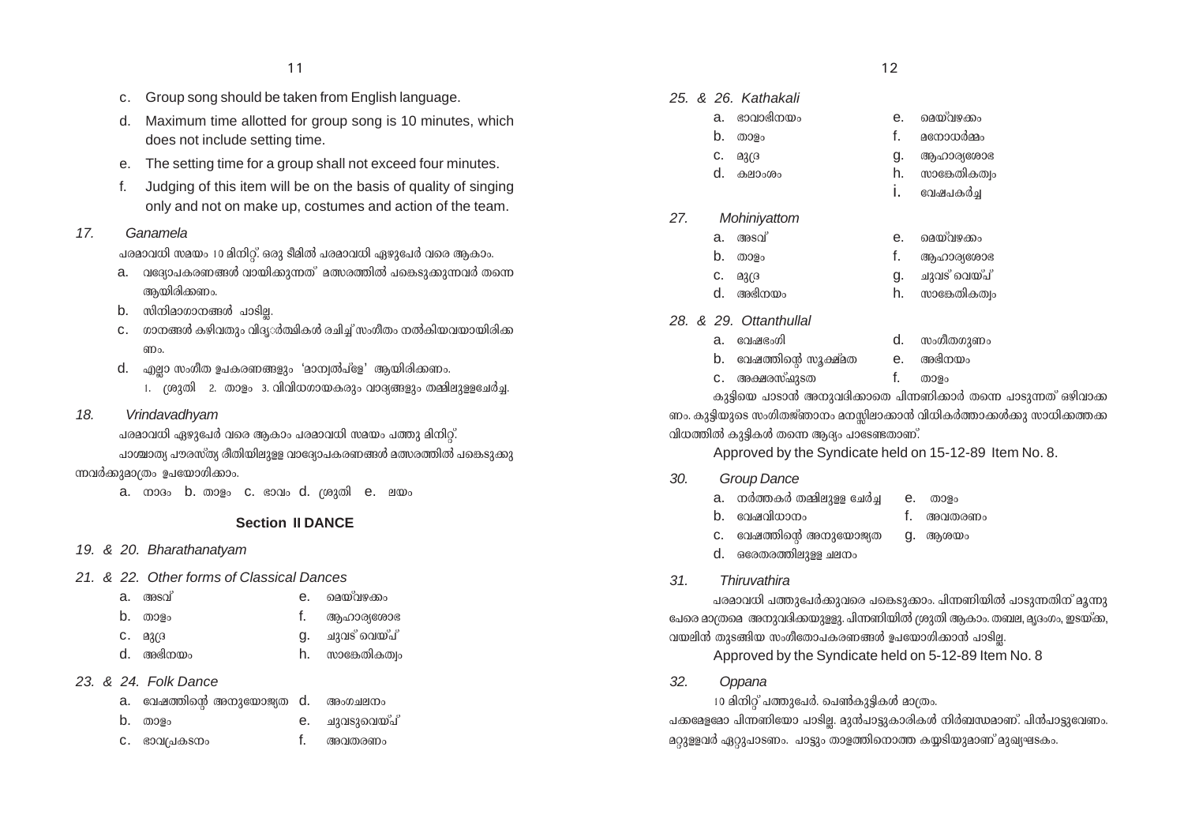- c. Group song should be taken from English language.
- d. Maximum time allotted for group song is 10 minutes, which does not include setting time.
- e. The setting time for a group shall not exceed four minutes.
- f. Judging of this item will be on the basis of quality of singing only and not on make up, costumes and action of the team.

#### *17. Ganamela*

പരമാവധി സമയം 10 മിനിറ്റ്. ഒരു ടീമിൽ പരമാവധി ഏഴുപേർ വരെ ആകാം.

- a. ∩ാദോപകരണങ്ങൾ വായിക്കുന്നത്° മത്സരത്തിൽ പങ്കെടുക്കുന്നവർ തന്നെ ആയിരിക്കണം.
- $b.$  സിനിമാഗാനങ്ങൾ പാടില.
- $c.$  ഗാനങ്ങൾ കഴിവതും വിദ്യര്ത്ഥികൾ രചിച്ച് സംഗീതം നൽകിയവയായിരിക്ക ണം.
- $d.$  എല്ലാ സംഗീത ഉപകരണങ്ങളും 'മാന്വൽപ്ളേ' ആയിരിക്കണം.
	- 1. (ശുതി 2. താളം 3. വിവിധഗായകരും വാദ്യങ്ങളും തമ്മിലുള്ളചേർച്ച.
- *18. Vrindavadhyam*

പരമാവധി ഏഴുപേർ വരെ ആകാം പരമാവധി സമയം പത്തു മിനിറ്റ്. പാശ്ചാത്യ പൗരസ്ത്യ രീതിയിലുളള വാദ്യോപകരണങ്ങൾ മത്സരത്തിൽ പങ്കെടുക്കു

## ന്നവർക്കുമാത്രം ഉപയോഗിക്കാം.

a.  $\omega$ a.  $\omega$  b.  $\omega$ a e. c. ebalo d.  $\omega$ a e. el $\omega$ o

# **Section II DANCE**

#### *19. & 20. Bharathanatyam*

#### *21. & 22. Other forms of Classical Dances*

| a. അംഖ്   | е. | മെയ്വഴക്കം       |
|-----------|----|------------------|
| b. താളം   |    | 1. ആഹാര്യരോഭ     |
| C. Q2(3)  | α. | ചുവട് വെയ്പ്     |
| d. അഭിനയം |    | h. സാങ്കേതികത്വം |

## *23. & 24. Folk Dance*

| a. വേഷത്തിന്റെ അനുയോജ്യത d. അംഗചലനം |                |
|-------------------------------------|----------------|
| $b.$ താളം                           | e. ചുവടുവെയ്പ് |
| C. ഭാവപ്രകടനം                       | f. അവതരണം      |

#### 11  $\hspace{1.5cm}$  12

|     |    | 25, & 26, Kathakali |    |               |
|-----|----|---------------------|----|---------------|
|     | a. | ഭാവാഭിനയം           | е. | മെയ്വഴക്കം    |
|     | b. | താളം                | f. | മനോധർമ്മം     |
|     | c. | മുദ്ര               | g. | ആഹാര്യശോഭ     |
|     | d. | കലാംശം              | h. | സാങ്കേതികത്വം |
|     |    |                     | İ. | വേഷപകർച്ച     |
| 27. |    | Mohiniyattom        |    |               |
|     | a. | അടവ്                | е. | മെയ്വഴക്കം    |
|     | b. | താളം                | f. | ആഹാര്യശോഭ     |
|     | c. | Q2G                 | g. | ചുവട് വെയ്പ്  |

- d. A`n\bw h. kmt¶-Xn-IXzw
- *28. & 29. Ottanthullal*

- a. thj-`wKn d. kwKoXKpWw
- $b.$  വേഷത്തിന്റെ സൂക്ഷ്മത  $e.$  അഭിനയം
- C. അക്ഷരസ്ഷാടത f. താളം

കുട്ടിയെ പാടാൻ അനുവദികാതെ പിന്നണിക്കാർ തന്നെ പാടുന്നത് ഒഴിവാക്ക ണം. കുട്ടിയുടെ സംഗിതജ്ഞാനം മനസിലാക്കാൻ വിധികർത്താക്കൾക്കു സാധിക്കത്തക  $\alpha$ ിധത്തിൽ കുട്ടികൾ തന്നെ ആദ്യം പാടേണ്ടതാണ്.

Approved by the Syndicate held on 15-12-89 Item No. 8.

## *30. Group Dance*

- $a.$   $\alpha$ ർത്തകർ തമ്മിലുള്ള ചേർച $\alpha$  e. താളം
- $b$  considiuum framework from  $f$  and  $m_0$
- $c.$  വേഷത്തിന്റെ അനുയോജ്യത $g.$  ആശയം
- d. Htc-X-c-Øn-ep≈ Ne\w
- *31. Thiruvathira*

പരമാവധി പത്തുപേർക്കുവരെ പങ്കെടുക്കാം. പിന്നണിയിൽ പാടുന്നതിന് മൂന്നു ്പേരെ മാത്രമെ അനുവദിക്കയുള്ളു. പിന്നണിയിൽ ശ്രുതി ആകാം. തബല, മൃദംഗം, ഇടയ്ക്ക, വയലിൻ തുടങ്ങിയ സംഗീതോപകരണങ്ങൾ ഉപയോഗിക്കാൻ പാടി<u>ല</u>്ല.

Approved by the Syndicate held on 5-12-89 Item No. 8

*32. Oppana*

 $10$  മിനിറ് പത്തുപേർ. ചെൺകുട്ടികൾ മാത്രം.

പക്കമേളമോ പിന്നണിയോ പാടില്ല. മുൻപാട്ടുകാരികൾ നിർബന്ധമാണ്. പിൻപാട്ടുവേണം. <u>മറുള്ളവർ ഏറുപാടണം. പാട്ടും താളത്തിനൊത്ത കയ്യടിയുമാണ് മുഖ്യഘടകം.</u>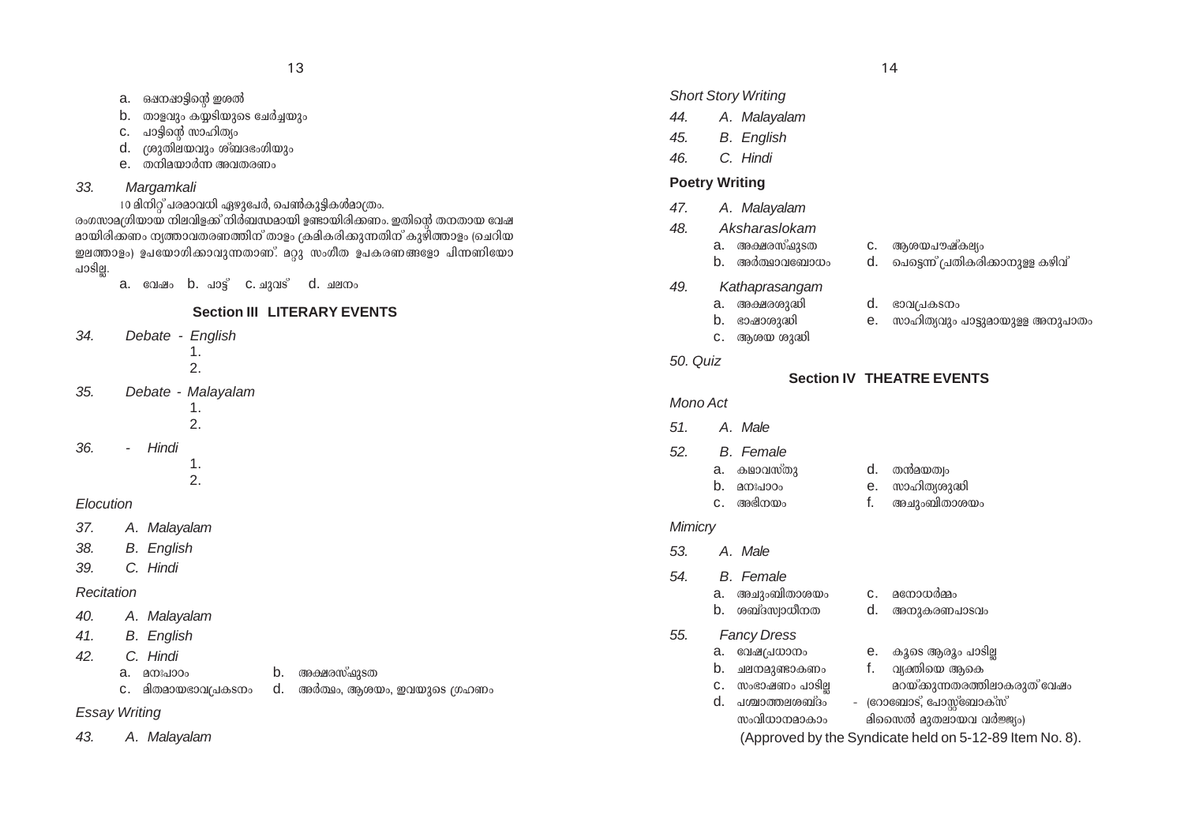- a. ഒഷനഷാട്ടിന്റെ ഇശൽ
- $b.$  താളവും കയടിയുടെ ചേർച്ചയും
- c. പാട്ടിന്റെ സാഹിത്യം
- d. {ipXn-e-bhpw iv\_Z-`w-Knbpw
- $e$ .  $\omega$ നിമയാർന്ന അവതരണം

## *33. Margamkali*

10 മിനിറ് പരമാവധി ഏഴുപേർ, പെൺകുട്ടികൾമാത്രം.

രംഗസാമഗ്രിയായ നിലവിളക്ക് നിർബന്ധമായി ഉണ്ടായിരിക്കണം. ഇതിന്റെ തനതായ വേഷ \_ മായിരിക്കണം ന്യത്താവതരണത്തിന് താളം ക്രമികരിക്കുന്നതിന് കുഴിത്താളം (ചെറിയ ഇലത്താളം) ഉപയോഗിക്കാവുന്നതാണ്. മറ്റു സംഗീത ഉപകരണങ്ങളോ പിന്നണിയോ പാടില്ല.

 $a.$  colare b.  $\omega$ o $s<sup>o</sup>$  c.  $\omega$ zo $s<sup>o</sup>$  d.  $\omega$ ero $\omega$ 

# **Section III LITERARY EVENTS**

- *34. Debate English*
	- 1. 2.
- *35. Debate Malayalam*
	- 1. 2.
- *36. - Hindi*
	- 1. 2.

## *Elocution*

- *37. A. Malayalam*
- *38. B. English*
- *39. C. Hindi*

#### *Recitation*

- *40. A. Malayalam*
- *41. B. English*
- *42. C. Hindi*
	- $a.$  മനഃപാഠം  $b.$  അക്ഷരസ്ഷുടത
	- $c.$  മിതമായഭാവപ്രകടനം d. അർത്ഥം, ആശയം, ഇവയുടെ ഗ്രഹണം
- 

# *Essay Writing*

*43. A. Malayalam*

#### *Short Story Writing*

- *44. A. Malayalam*
- *45. B. English*
- *46. C. Hindi*

## **Poetry Writing**

- *47. A. Malayalam*
- *48. Aksharaslokam*
	- a. A£-c-kv^p-SX c. Bi-b-]u-jvIeyw
	- b. അർത്ഥാവബോധം d. പെട്ടെന്ന് പ്രതികരിക്കാനുള്ള കഴിവ്
- *49. Kathaprasangam*

c. ആശയ ശുദ്ധി

- a. അക്ഷരശുദ്ധി d. ഭാവപ്രകടനം
- $\mathbf b$ . ഭാഷാശുദ്ധി e. സാഹിത്യവും പാട്ടുമായുള്ള അനുപാതം
- *50. Quiz*

# **Section IV THEATRE EVENTS**

## *Mono Act*

- *51. A. Male*
- *52. B. Female*
	- a. കഥാവസ്തു d. തൻമയത്വം b. a\x-]mTw e. kmln-Xyip≤n c. A`n-\bw f. ANpw-\_n-Xm-ibw

#### *Mimicry*

- *53. A. Male*
- *54. B. Female*
	- a. അചുംബിതാശയം c. മനോധർമ്മം
	- $b.$  ശബ്ദസ്വാധീനത  $d.$  അനുകരണപാടവം
- *55. Fancy Dress*
	- a. വേഷപ്രധാനം  $\qquad$  e. കൂടെ ആരും പാടില്ല  $\qquad$  b. ചലനമുണ്ടാകണം  $\qquad$  f. വ്യക്തിയെ അകെ
	- $b.$  ചലനമുണ്ടാകണം  $f.$  വ്യക്തിയെ ആകെ
		-
	- c. kw`m-jWw ]mSn√ adbv-°p-∂-X-c-Øn-em-I-cpXv thjw  $d.$  പശ്ചാത്തലശബ്ദം - (റോബോട്, പോസ്റ്റ്ബോക്സ്
		- സംവിധാനമാകാം മിസൈൽ മുതലായവ വർജ്ജ്യം)

(Approved by the Syndicate held on 5-12-89 Item No. 8).

#### 13  $\hspace{1.5cm}$  14  $\hspace{1.5cm}$  14  $\hspace{1.5cm}$  14  $\hspace{1.5cm}$  14  $\hspace{1.5cm}$  14  $\hspace{1.5cm}$  14  $\hspace{1.5cm}$  14  $\hspace{1.5cm}$  14  $\hspace{1.5cm}$  14  $\hspace{1.5cm}$  14  $\hspace{1.5cm}$  14  $\hspace{1.5cm}$  14  $\hspace{1.5cm}$  14  $\hspace{1.5cm}$  14  $\hspace{1.5$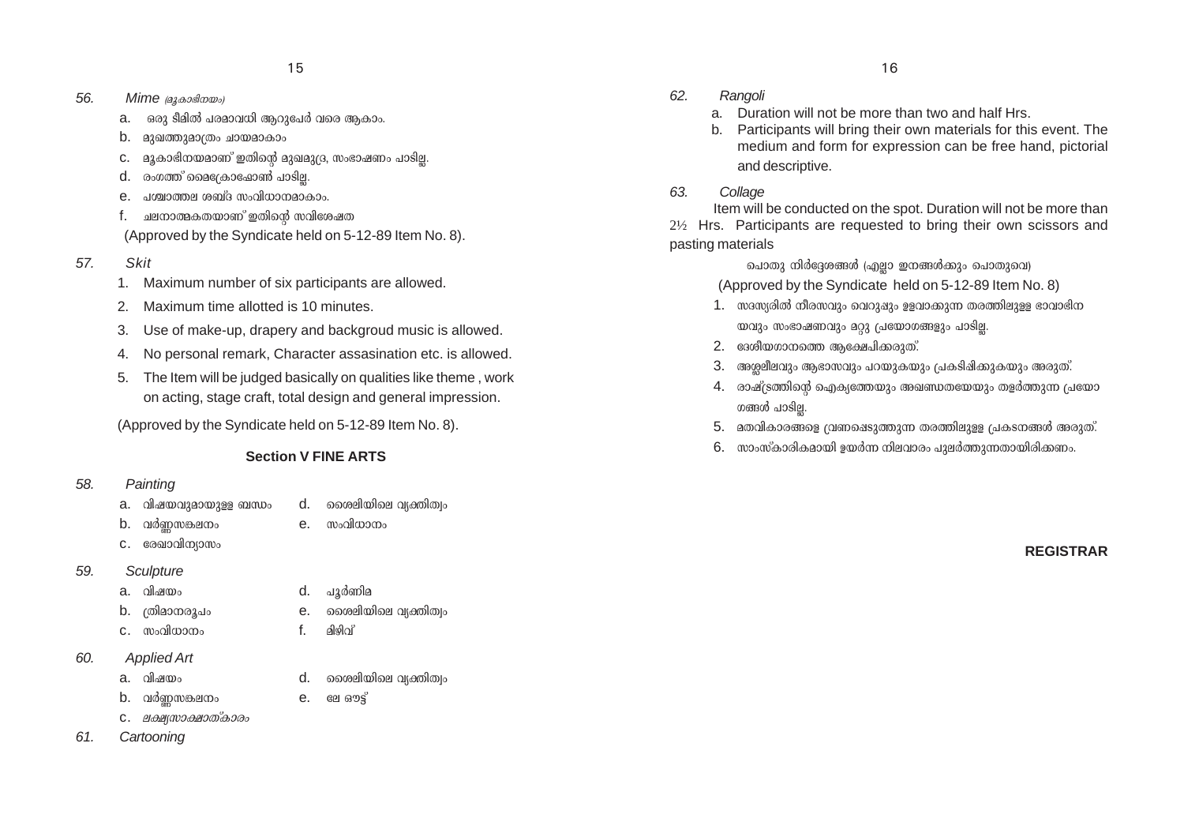- *56. Mime* (*a*<sub>3</sub> *aosda w*<sub>*o*</sub>)
	- $a$ .  $\,$  ഒരു ടീമിൽ പരമാവധി ആറുപേർ വരെ ആകാം.
	- $b.$  മുഖത്തുമാത്രം ചായമാകാം
	- $c.$  a $_{3}$ കാഭിനയമാണ് ഇതിന്റെ മുഖമു(ദ, സംഭാഷണം പാടില്ല.
	- $d.$  രംഗത്ത് മൈക്രോഷോൺ പാടില്ല.
	- $e.$   $\alpha$  up all  $\alpha$  is a mode in  $\alpha$  and  $\alpha$  and  $\alpha$  and  $\alpha$  in  $\alpha$
	- $f.$  ചലനാത്മകതയാണ് ഇതിന്റെ സവിശേഷത

(Approved by the Syndicate held on 5-12-89 Item No. 8).

- *57. Skit*
	- 1. Maximum number of six participants are allowed.
	- 2. Maximum time allotted is 10 minutes.
	- 3. Use of make-up, drapery and backgroud music is allowed.
	- 4. No personal remark, Character assasination etc. is allowed.
	- 5. The Item will be judged basically on qualities like theme , work on acting, stage craft, total design and general impression.

(Approved by the Syndicate held on 5-12-89 Item No. 8).

# **Section V FINE ARTS**

# *58. Painting*

- a. വിഷയവുമായുള്ള ബന്ധം $\qquad$  d.  $\qquad$ രൈലിയിലെ വ്യക്തിത്വം
- b. h¿Æ-k-¶-e\w e. kwhn-[m\w
- C. cേഖാവിന്യാസം

# *59. Sculpture*

- 
- 
- C. സംവിധാനം f. മിഴിവ്
- *60. Applied Art*
	-
- 
- b. h¿Æ-k-¶-e\w e. te Hu´v
- C. *ലക്ഷ്യസാക്ഷാത്കാരം*
- *61. Cartooning*
- *62. Rangoli*
	- a. Duration will not be more than two and half Hrs.
	- b. Participants will bring their own materials for this event. The medium and form for expression can be free hand, pictorial and descriptive.
- *63. Collage*

Item will be conducted on the spot. Duration will not be more than 2½ Hrs. Participants are requested to bring their own scissors and pasting materials

> **പൊതു നിർ**ദ്ദേശങ്ങൾ (എല്ലാ ഇനങ്ങൾക്കും പൊതുവെ) (Approved by the Syndicate held on 5-12-89 Item No. 8)

- $1.$  സദസ്യരിൽ നീരസവും വെറുഷും ഉളവാക്കുന്ന തരത്തിലുള്ള ഭാവാഭിന യവും സംഭാഷണവും മറ്റു <sub>(</sub>പയോഗങ്ങളും പാടി<u>ല്ല</u>.
- $2.$  ദേശീയഗാനത്തെ ആക്ഷേപിക്കരുത്.
- $3.$  അശുലീലവും ആഭാസവും പറയുകയും പ്രകടിഷിക്കുകയും അരുത്.
- 4. രാഷ്ട്രത്തിന്റെ ഐക്യത്തേയും അഖണ്ഡതയേയും തളർത്തുന്ന പ്രയോ ഗങ്ങൾ പാടില.
- $5.$  മതവികാരങ്ങളെ (വണഷെടുത്തുന്ന തരത്തിലുളള പ്രകടനങ്ങൾ അരുത്.
- $6.$  സാംസ്കാരികമായി ഉയർന്ന നിലവാരം പുലർത്തുന്നതായിരിക്കണം.

**REGISTRAR**

- -
	-
- b. {Xnam-\-cq]w e. ssien-bnse hy‡nXzw
	- -
		-
		-
- a. hnjbw d. ssien-bnse hy‡nXzw
- 
- -
- -
- 
- 
- 
- 
- -
- 
- 
- -
	-
- 
- 
- 
- 
- 
- 
- 
- 
- 
- a. hnjbw d. ]q¿Wna
	-
	-
	- -
		-
	-
- 
- 
- -
- 
- 
- 
- 
- 
-